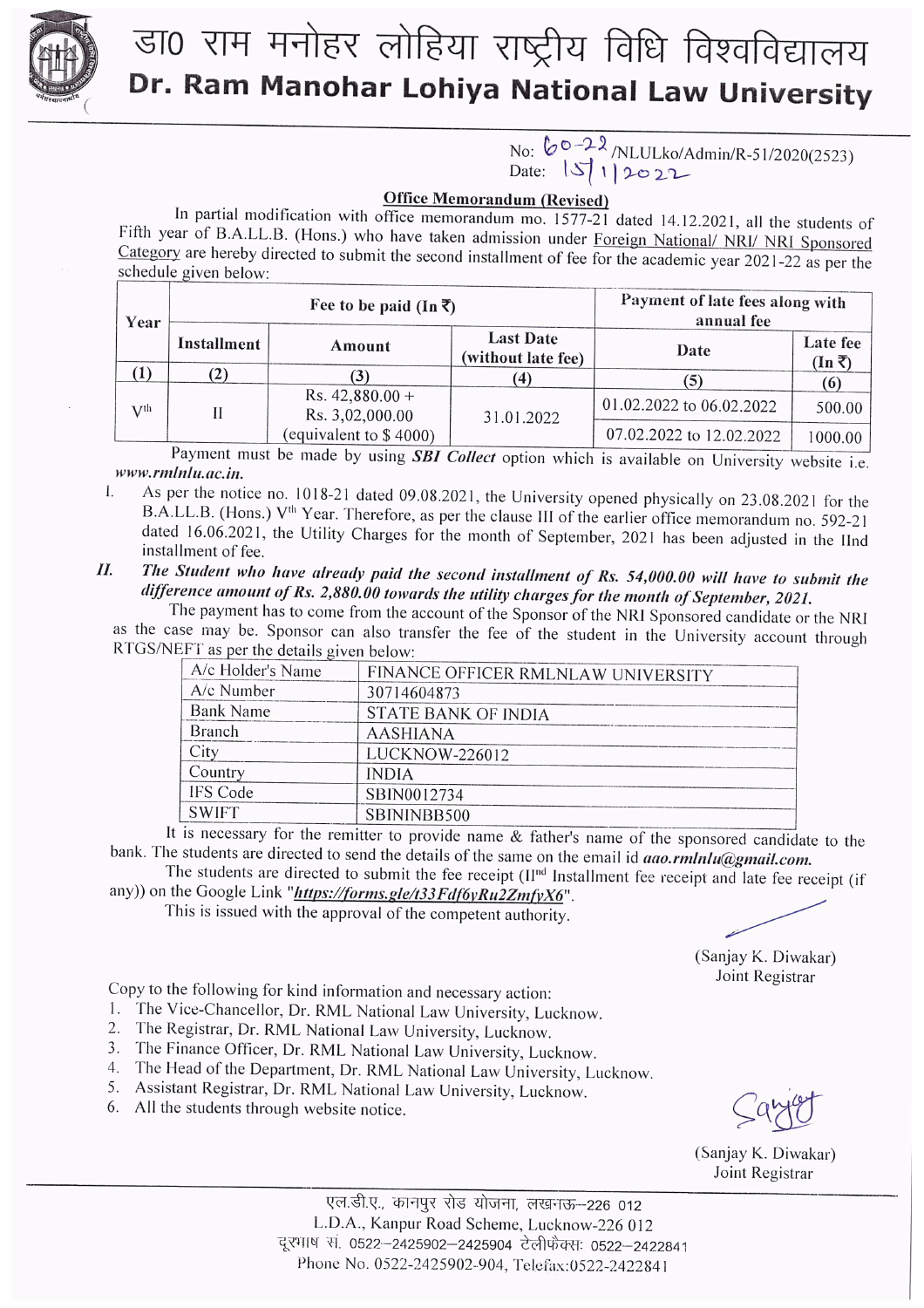

## डा0 राम मनोहर लोहिया राष्ट्रीय विधि विश्वविद्यालय Dr. Ram Manohar Lohiya National Law University

# No: 60-22/NLULko/Admin/R-51/2020(2523)<br>Date: 15/1/2022

#### **Office Memorandum (Revised)**

In partial modification with office memorandum mo.  $1577-21$  dated 14.12.2021, all the students of Fifth year of B.A.LL.B. (Hons.) who have taken admission under Foreign National/ NRI/ NRI Sponsored Category are hereby directed to submit the second installment of fee for the academic year 2021-22 as per the schedule given below:

| Year         | Fee to be paid (In $\overline{\zeta}$ ) |                                      |                                        | Payment of late fees along with<br>annual fee |                                   |
|--------------|-----------------------------------------|--------------------------------------|----------------------------------------|-----------------------------------------------|-----------------------------------|
|              | Installment                             | Amount                               | <b>Last Date</b><br>(without late fee) | Date                                          | Late fee<br>$(\text{In} \bar{z})$ |
| $\mathbf{I}$ | $\mathbf{2}$                            |                                      | 4                                      |                                               |                                   |
| $V$ th       | Н                                       | Rs. $42,880.00 +$<br>Rs. 3,02,000.00 | 31.01.2022                             | 01.02.2022 to 06.02.2022                      | 500.00                            |
|              |                                         | (equivalent to $$4000$ )             |                                        | 07.02.2022 to 12.02.2022                      | 1000.00                           |

Payment must be made by using **SBI** Collect option which is available on University website i.e. www.rmlnlu.ac.in.

- As per the notice no. 1018-21 dated 09.08.2021, the University opened physically on 23.08.2021 for the L B.A.LL.B. (Hons.) V<sup>th</sup> Year. Therefore, as per the clause III of the earlier office memorandum no. 592-21 dated 16.06.2021, the Utility Charges for the month of September, 2021 has been adjusted in the IInd installment of fee.
- The Student who have already paid the second installment of Rs. 54,000.00 will have to submit the  $II.$ difference amount of Rs. 2,880.00 towards the utility charges for the month of September, 2021.

The payment has to come from the account of the Sponsor of the NRI Sponsored candidate or the NRI as the case may be. Sponsor can also transfer the fee of the student in the University account through RTGS/NEFT as per the details given below:

| A/c Holder's Name | FINANCE OFFICER RMLNLAW UNIVERSITY |
|-------------------|------------------------------------|
| A/c Number        | 30714604873                        |
| Bank Name         | STATE BANK OF INDIA                |
| <b>Branch</b>     | <b>AASHIANA</b>                    |
| City              | LUCKNOW-226012                     |
| Country           | <b>INDIA</b>                       |
| IFS Code          | SBIN0012734                        |
| <b>SWIFT</b>      | SBININBB500                        |
|                   |                                    |

It is necessary for the remitter to provide name & father's name of the sponsored candidate to the bank. The students are directed to send the details of the same on the email id aao.rmlnlu@gmail.com.

The students are directed to submit the fee receipt (II<sup>nd</sup> Installment fee receipt and late fee receipt (if any)) on the Google Link "https://forms.gle/t33Fdf6yRu2ZmfyX6".

This is issued with the approval of the competent authority.

(Sanjay K. Diwakar) Joint Registrar

Copy to the following for kind information and necessary action:

- 1. The Vice-Chancellor, Dr. RML National Law University, Lucknow.
- 2. The Registrar, Dr. RML National Law University, Lucknow.
- 3. The Finance Officer, Dr. RML National Law University, Lucknow.
- 4. The Head of the Department, Dr. RML National Law University, Lucknow.
- 5. Assistant Registrar, Dr. RML National Law University, Lucknow.
- 6. All the students through website notice.

(Sanjay K. Diwakar) Joint Registrar

एल.डी.ए., कानपुर रोड योजना, लखनऊ-226 012 L.D.A., Kanpur Road Scheme, Lucknow-226 012 दूरभाष स. 0522–2425902–2425904 टेलीफेक्सः 0522–2422841 Phone No. 0522-2425902-904, Telefax:0522-2422841